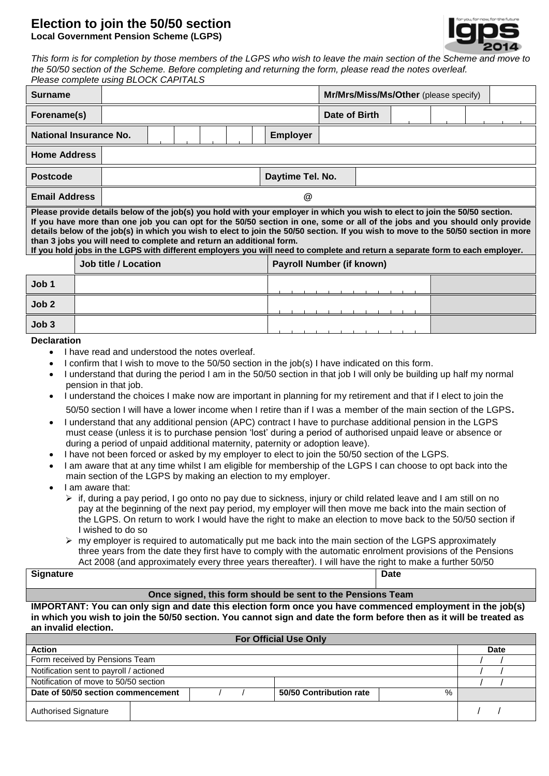## **Election to join the 50/50 section Local Government Pension Scheme (LGPS)**



*This form is for completion by those members of the LGPS who wish to leave the main section of the Scheme and move to the 50/50 section of the Scheme. Before completing and returning the form, please read the notes overleaf. Please complete using BLOCK CAPITALS*

| <b>Surname</b>                                                                                                                                                                                                                                                                                                                                                                                                                                                                                                                                                                                            |  |                             |  |  |  |  |  | Mr/Mrs/Miss/Ms/Other (please specify) |  |               |  |  |  |  |  |
|-----------------------------------------------------------------------------------------------------------------------------------------------------------------------------------------------------------------------------------------------------------------------------------------------------------------------------------------------------------------------------------------------------------------------------------------------------------------------------------------------------------------------------------------------------------------------------------------------------------|--|-----------------------------|--|--|--|--|--|---------------------------------------|--|---------------|--|--|--|--|--|
| Forename(s)                                                                                                                                                                                                                                                                                                                                                                                                                                                                                                                                                                                               |  |                             |  |  |  |  |  |                                       |  | Date of Birth |  |  |  |  |  |
| National Insurance No.                                                                                                                                                                                                                                                                                                                                                                                                                                                                                                                                                                                    |  |                             |  |  |  |  |  | <b>Employer</b>                       |  |               |  |  |  |  |  |
| <b>Home Address</b>                                                                                                                                                                                                                                                                                                                                                                                                                                                                                                                                                                                       |  |                             |  |  |  |  |  |                                       |  |               |  |  |  |  |  |
| <b>Postcode</b>                                                                                                                                                                                                                                                                                                                                                                                                                                                                                                                                                                                           |  |                             |  |  |  |  |  | Daytime Tel. No.                      |  |               |  |  |  |  |  |
| <b>Email Address</b>                                                                                                                                                                                                                                                                                                                                                                                                                                                                                                                                                                                      |  | @                           |  |  |  |  |  |                                       |  |               |  |  |  |  |  |
| Please provide details below of the job(s) you hold with your employer in which you wish to elect to join the 50/50 section.<br>If you have more than one job you can opt for the 50/50 section in one, some or all of the jobs and you should only provide<br>details below of the job(s) in which you wish to elect to join the 50/50 section. If you wish to move to the 50/50 section in more<br>than 3 jobs you will need to complete and return an additional form.<br>If you hold jobs in the LGPS with different employers you will need to complete and return a separate form to each employer. |  |                             |  |  |  |  |  |                                       |  |               |  |  |  |  |  |
|                                                                                                                                                                                                                                                                                                                                                                                                                                                                                                                                                                                                           |  | <b>Job title / Location</b> |  |  |  |  |  | <b>Payroll Number (if known)</b>      |  |               |  |  |  |  |  |
| Job <sub>1</sub>                                                                                                                                                                                                                                                                                                                                                                                                                                                                                                                                                                                          |  |                             |  |  |  |  |  |                                       |  |               |  |  |  |  |  |
| Job <sub>2</sub>                                                                                                                                                                                                                                                                                                                                                                                                                                                                                                                                                                                          |  |                             |  |  |  |  |  |                                       |  |               |  |  |  |  |  |
| Job3                                                                                                                                                                                                                                                                                                                                                                                                                                                                                                                                                                                                      |  |                             |  |  |  |  |  |                                       |  |               |  |  |  |  |  |

#### **Declaration**

- I have read and understood the notes overleaf.
- I confirm that I wish to move to the 50/50 section in the job(s) I have indicated on this form.
- I understand that during the period I am in the 50/50 section in that job I will only be building up half my normal pension in that job.
- I understand the choices I make now are important in planning for my retirement and that if I elect to join the 50/50 section I will have a lower income when I retire than if I was a member of the main section of the LGPS.
- I understand that any additional pension (APC) contract I have to purchase additional pension in the LGPS must cease (unless it is to purchase pension 'lost' during a period of authorised unpaid leave or absence or during a period of unpaid additional maternity, paternity or adoption leave).
- I have not been forced or asked by my employer to elect to join the 50/50 section of the LGPS.
- I am aware that at any time whilst I am eligible for membership of the LGPS I can choose to opt back into the main section of the LGPS by making an election to my employer.
- I am aware that:
	- $\triangleright$  if, during a pay period, I go onto no pay due to sickness, injury or child related leave and I am still on no pay at the beginning of the next pay period, my employer will then move me back into the main section of the LGPS. On return to work I would have the right to make an election to move back to the 50/50 section if I wished to do so
	- $\triangleright$  my employer is required to automatically put me back into the main section of the LGPS approximately three years from the date they first have to comply with the automatic enrolment provisions of the Pensions Act 2008 (and approximately every three years thereafter). I will have the right to make a further 50/50

# **Signature** election at the interval wish to do solve that the interval wish to do so. The interval wish to do so. The interval wish to do so. The interval wish to do so. The interval wish to do so. The interval wish to do

#### **Once signed, this form should be sent to the Pensions Team**

**IMPORTANT: You can only sign and date this election form once you have commenced employment in the job(s) in which you wish to join the 50/50 section. You cannot sign and date the form before then as it will be treated as an invalid election.**

| <b>For Official Use Only</b>            |  |  |  |                         |   |  |             |  |  |
|-----------------------------------------|--|--|--|-------------------------|---|--|-------------|--|--|
| <b>Action</b>                           |  |  |  |                         |   |  | <b>Date</b> |  |  |
| Form received by Pensions Team          |  |  |  |                         |   |  |             |  |  |
| Notification sent to payroll / actioned |  |  |  |                         |   |  |             |  |  |
| Notification of move to 50/50 section   |  |  |  |                         |   |  |             |  |  |
| Date of 50/50 section commencement      |  |  |  | 50/50 Contribution rate | % |  |             |  |  |
| <b>Authorised Signature</b>             |  |  |  |                         |   |  |             |  |  |